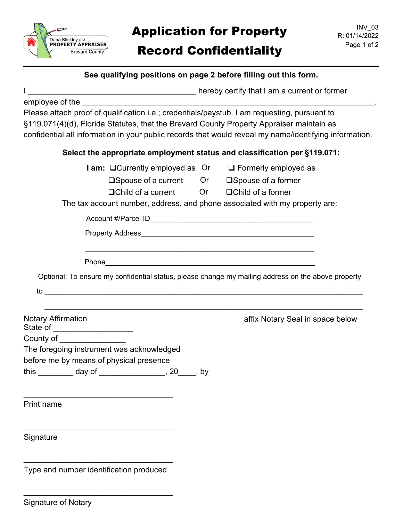

# **Application for Property** R: 01/14/2022 Record Confidentiality Page 1 of 2

I \_\_\_\_\_\_\_\_\_\_\_\_\_\_\_\_\_\_\_\_\_\_\_\_\_\_\_\_\_\_\_\_\_\_\_\_\_\_ hereby certify that I am a current or former

employee of the

 Please attach proof of qualification i.e.; credentials/paystub. I am requesting, pursuant to §119.071(4)(d), Florida Statutes, that the Brevard County Property Appraiser maintain as confidential all information in your public records that would reveal my name/identifying information.

## **Select the appropriate employment status and classification per §119.071:**

| <b>I am:</b> □ Currently employed as Or |      | $\Box$ Formerly employed as  |
|-----------------------------------------|------|------------------------------|
| $\square$ Spouse of a current           | Or . | $\square$ Spouse of a former |

 $\Box$ Child of a current  $\Box$  Or  $\Box$ Child of a former

The tax account number, address, and phone associated with my property are:

|                                                              | Optional: To ensure my confidential status, please change my mailing address on the above property |
|--------------------------------------------------------------|----------------------------------------------------------------------------------------------------|
| to                                                           |                                                                                                    |
| <b>Notary Affirmation</b><br>State of ______________________ | affix Notary Seal in space below                                                                   |
| County of _________________                                  |                                                                                                    |
| The foregoing instrument was acknowledged                    |                                                                                                    |

before me by means of physical presence

\_\_\_\_\_\_\_\_\_\_\_\_\_\_\_\_\_\_\_\_\_\_\_\_\_\_\_\_\_\_\_\_\_\_

\_\_\_\_\_\_\_\_\_\_\_\_\_\_\_\_\_\_\_\_\_\_\_\_\_\_\_\_\_\_\_\_\_\_

this \_\_\_\_\_\_\_\_ day of \_\_\_\_\_\_\_\_\_\_\_\_\_\_\_, 20\_\_\_\_, by

Print name

Signature

\_\_\_\_\_\_\_\_\_\_\_\_\_\_\_\_\_\_\_\_\_\_\_\_\_\_\_\_\_\_\_\_\_\_ Type and number identification produced

\_\_\_\_\_\_\_\_\_\_\_\_\_\_\_\_\_\_\_\_\_\_\_\_\_\_\_\_\_\_\_\_\_\_